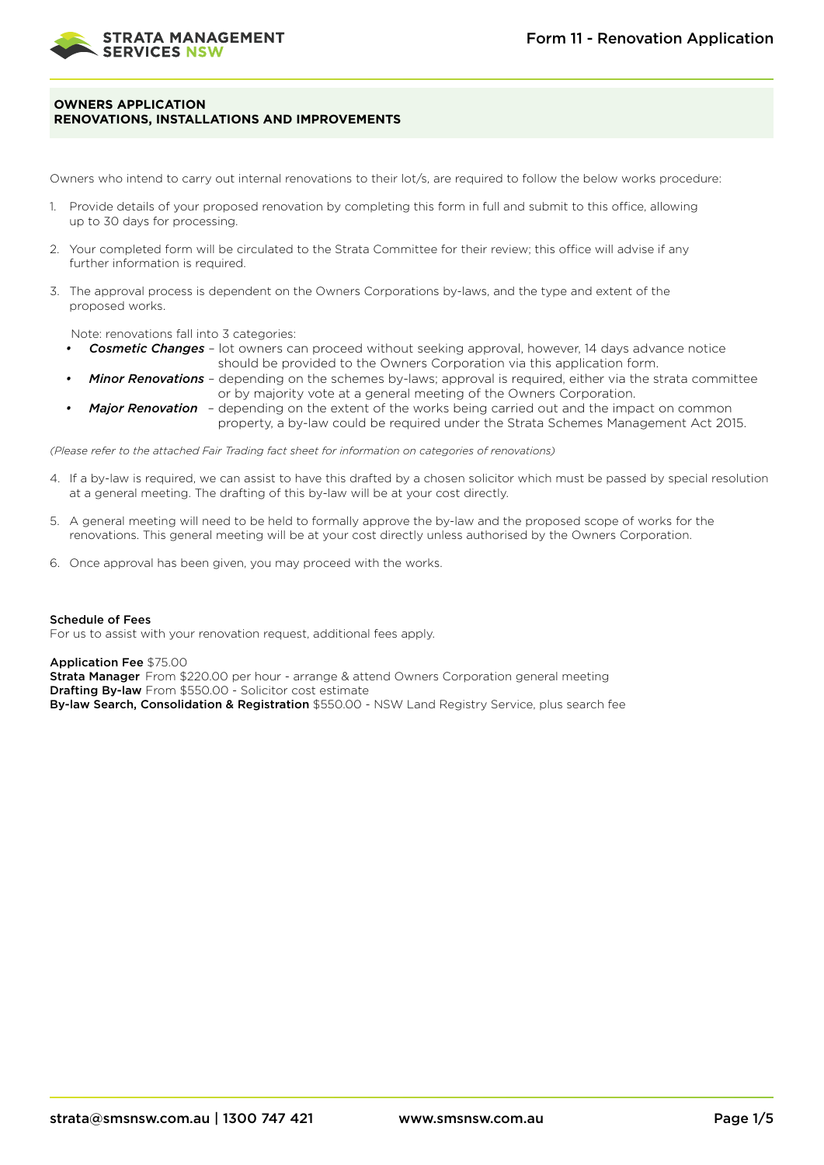

# **OWNERS APPLICATION RENOVATIONS, INSTALLATIONS AND IMPROVEMENTS**

Owners who intend to carry out internal renovations to their lot/s, are required to follow the below works procedure:

- 1. Provide details of your proposed renovation by completing this form in full and submit to this office, allowing up to 30 days for processing.
- 2. Your completed form will be circulated to the Strata Committee for their review; this office will advise if any further information is required.
- 3. The approval process is dependent on the Owners Corporations by-laws, and the type and extent of the proposed works.

Note: renovations fall into 3 categories:

- *• Cosmetic Changes* lot owners can proceed without seeking approval, however, 14 days advance notice should be provided to the Owners Corporation via this application form.
	- *• Minor Renovations* depending on the schemes by-laws; approval is required, either via the strata committee or by majority vote at a general meeting of the Owners Corporation.
- *• Major Renovation* depending on the extent of the works being carried out and the impact on common property, a by-law could be required under the Strata Schemes Management Act 2015.

*(Please refer to the attached Fair Trading fact sheet for information on categories of renovations)*

- 4. If a by-law is required, we can assist to have this drafted by a chosen solicitor which must be passed by special resolution at a general meeting. The drafting of this by-law will be at your cost directly.
- 5. A general meeting will need to be held to formally approve the by-law and the proposed scope of works for the renovations. This general meeting will be at your cost directly unless authorised by the Owners Corporation.
- 6. Once approval has been given, you may proceed with the works.

# Schedule of Fees

For us to assist with your renovation request, additional fees apply.

Application Fee \$75.00

**Strata Manager** From \$220.00 per hour - arrange & attend Owners Corporation general meeting Drafting By-law From \$550.00 - Solicitor cost estimate By-law Search, Consolidation & Registration \$550.00 - NSW Land Registry Service, plus search fee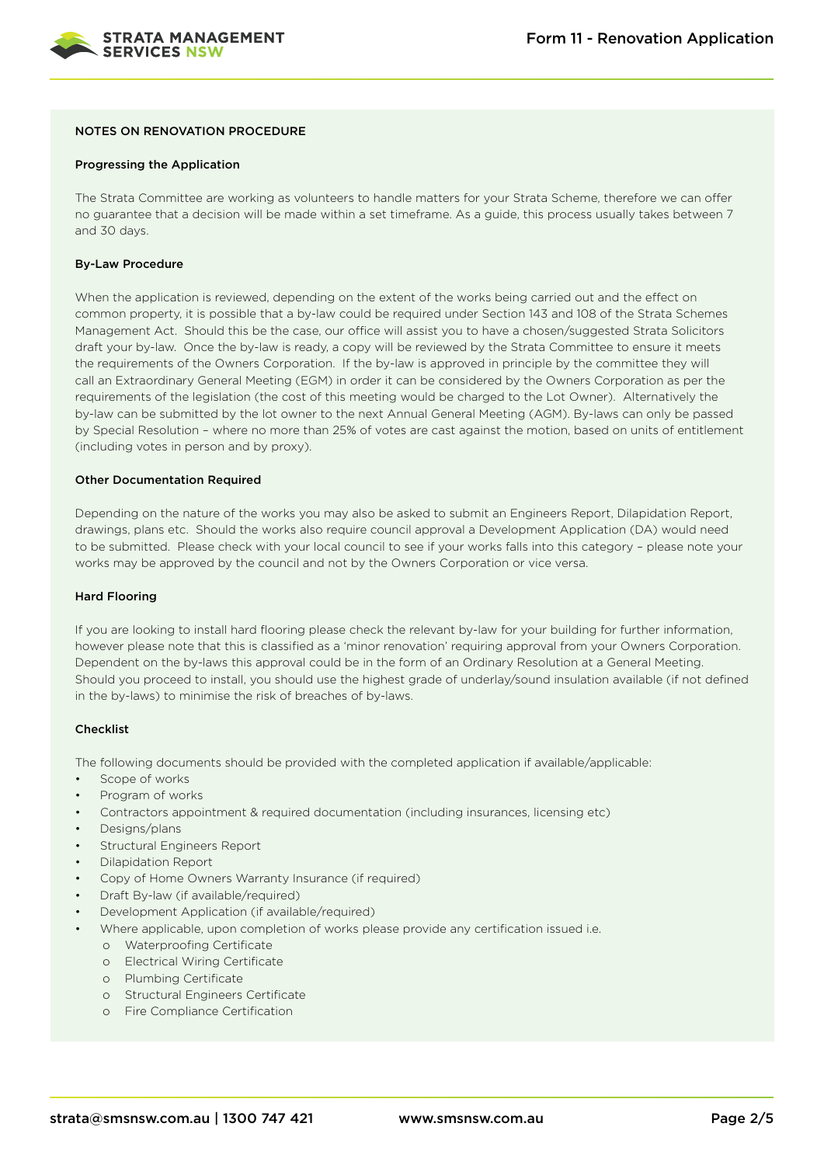

# NOTES ON RENOVATION PROCEDURE

#### Progressing the Application

The Strata Committee are working as volunteers to handle matters for your Strata Scheme, therefore we can offer no guarantee that a decision will be made within a set timeframe. As a guide, this process usually takes between 7 and 30 days.

## By-Law Procedure

When the application is reviewed, depending on the extent of the works being carried out and the effect on common property, it is possible that a by-law could be required under Section 143 and 108 of the Strata Schemes Management Act. Should this be the case, our office will assist you to have a chosen/suggested Strata Solicitors draft your by-law. Once the by-law is ready, a copy will be reviewed by the Strata Committee to ensure it meets the requirements of the Owners Corporation. If the by-law is approved in principle by the committee they will call an Extraordinary General Meeting (EGM) in order it can be considered by the Owners Corporation as per the requirements of the legislation (the cost of this meeting would be charged to the Lot Owner). Alternatively the by-law can be submitted by the lot owner to the next Annual General Meeting (AGM). By-laws can only be passed by Special Resolution – where no more than 25% of votes are cast against the motion, based on units of entitlement (including votes in person and by proxy).

#### Other Documentation Required

Depending on the nature of the works you may also be asked to submit an Engineers Report, Dilapidation Report, drawings, plans etc. Should the works also require council approval a Development Application (DA) would need to be submitted. Please check with your local council to see if your works falls into this category – please note your works may be approved by the council and not by the Owners Corporation or vice versa.

#### Hard Flooring

If you are looking to install hard flooring please check the relevant by-law for your building for further information, however please note that this is classified as a 'minor renovation' requiring approval from your Owners Corporation. Dependent on the by-laws this approval could be in the form of an Ordinary Resolution at a General Meeting. Should you proceed to install, you should use the highest grade of underlay/sound insulation available (if not defined in the by-laws) to minimise the risk of breaches of by-laws.

# Checklist

The following documents should be provided with the completed application if available/applicable:

- Scope of works
- Program of works
- Contractors appointment & required documentation (including insurances, licensing etc)
- Designs/plans
- Structural Engineers Report
- Dilapidation Report
- Copy of Home Owners Warranty Insurance (if required)
- Draft By-law (if available/required)
- Development Application (if available/required)
- Where applicable, upon completion of works please provide any certification issued i.e.
	- o Waterproofing Certificate
	- o Electrical Wiring Certificate
	- o Plumbing Certificate
	- o Structural Engineers Certificate
	- o Fire Compliance Certification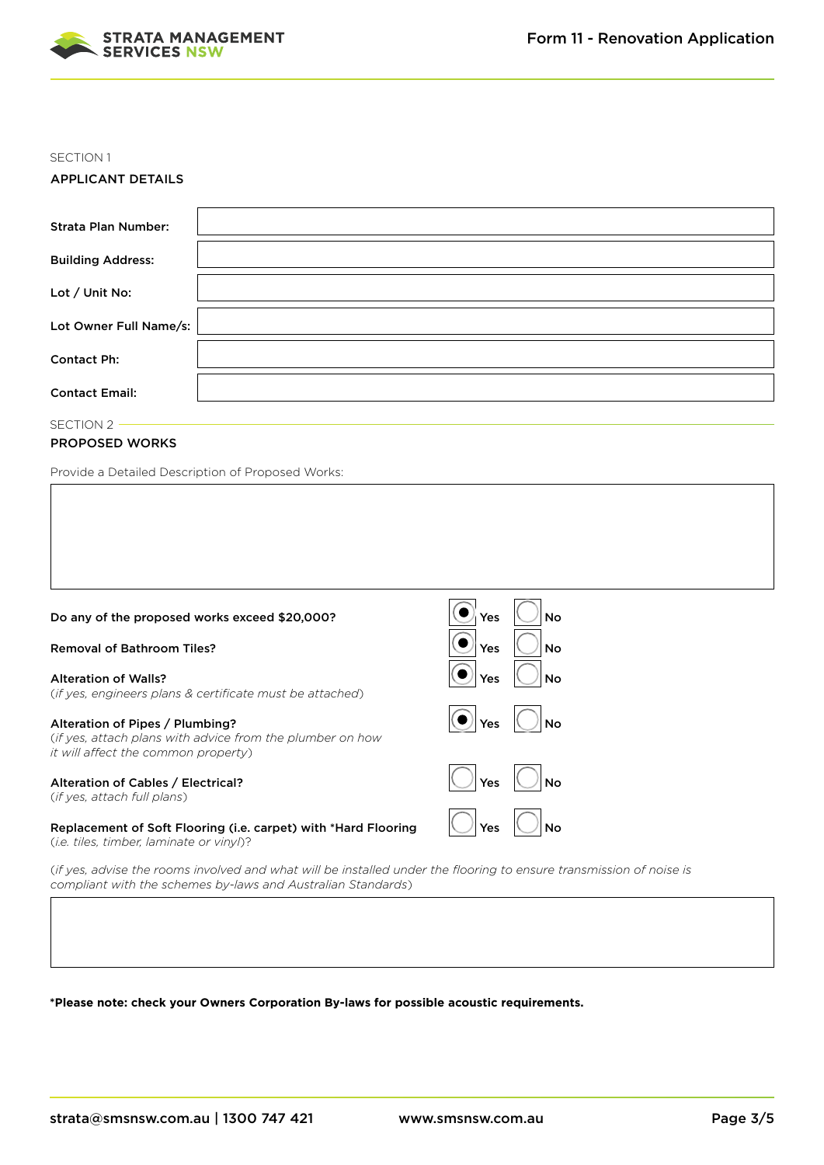

## SECTION 1

# APPLICANT DETAILS

| <b>Strata Plan Number:</b> |  |
|----------------------------|--|
| <b>Building Address:</b>   |  |
| Lot / Unit No:             |  |
| Lot Owner Full Name/s:     |  |
| <b>Contact Ph:</b>         |  |
| <b>Contact Email:</b>      |  |

SECTION 2 -

# PROPOSED WORKS

Provide a Detailed Description of Proposed Works:

| Do any of the proposed works exceed \$20,000?                                                                                       | Yes<br>No |
|-------------------------------------------------------------------------------------------------------------------------------------|-----------|
| <b>Removal of Bathroom Tiles?</b>                                                                                                   | Yes<br>No |
| <b>Alteration of Walls?</b><br>(if yes, engineers plans & certificate must be attached)                                             | Yes<br>No |
| Alteration of Pipes / Plumbing?<br>(if yes, attach plans with advice from the plumber on how<br>it will affect the common property) | Yes       |
| Alteration of Cables / Electrical?<br>(if yes, attach full plans)                                                                   | Yes<br>No |
| Replacement of Soft Flooring (i.e. carpet) with *Hard Flooring<br>(i.e. tiles, timber, laminate or vinyl)?                          | Yes<br>No |

(*if yes, advise the rooms involved and what will be installed under the flooring to ensure transmission of noise is compliant with the schemes by-laws and Australian Standards*)

# **\*Please note: check your Owners Corporation By-laws for possible acoustic requirements.**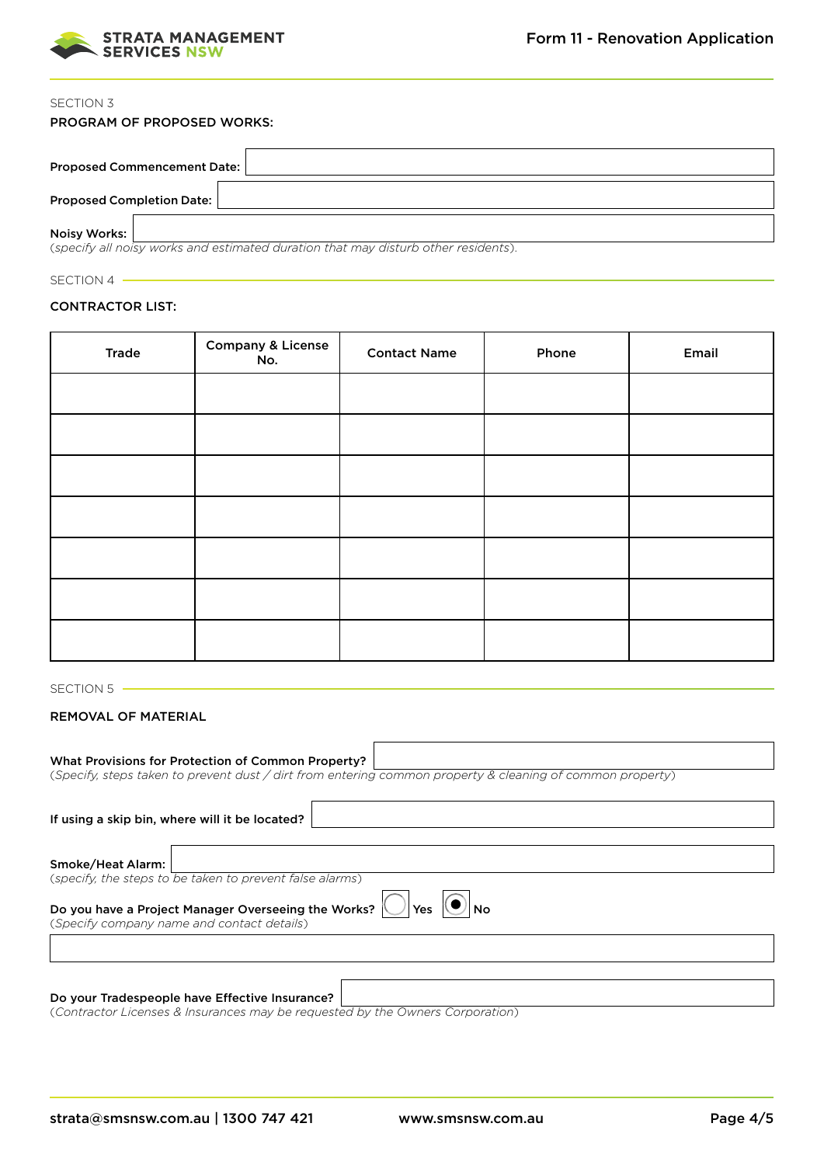

# SECTION 3

| <b>Proposed Commencement Date:</b> |                                                                                   |
|------------------------------------|-----------------------------------------------------------------------------------|
| <b>Proposed Completion Date:</b>   |                                                                                   |
| Noisy Works:                       | (specify all noisy works and estimated duration that may disturb other residents) |

(*specify all noisy works and estimated duration that may disturb other residents*).

# SECTION 4 -

# CONTRACTOR LIST:

| <b>Trade</b> | <b>Company &amp; License</b><br>No. | <b>Contact Name</b> | Phone | Email |
|--------------|-------------------------------------|---------------------|-------|-------|
|              |                                     |                     |       |       |
|              |                                     |                     |       |       |
|              |                                     |                     |       |       |
|              |                                     |                     |       |       |
|              |                                     |                     |       |       |
|              |                                     |                     |       |       |
|              |                                     |                     |       |       |

# SECTION 5

# REMOVAL OF MATERIAL

| What Provisions for Protection of Common Property?                                                        |
|-----------------------------------------------------------------------------------------------------------|
| (Specify, steps taken to prevent dust / dirt from entering common property & cleaning of common property) |
|                                                                                                           |
| If using a skip bin, where will it be located?                                                            |
|                                                                                                           |
| Smoke/Heat Alarm:                                                                                         |
| (specify, the steps to be taken to prevent false alarms)                                                  |
| Do you have a Project Manager Overseeing the Works?<br>Yes<br>(Specify company name and contact details)  |

# Do your Tradespeople have Effective Insurance?

(*Contractor Licenses & Insurances may be requested by the Owners Corporation*)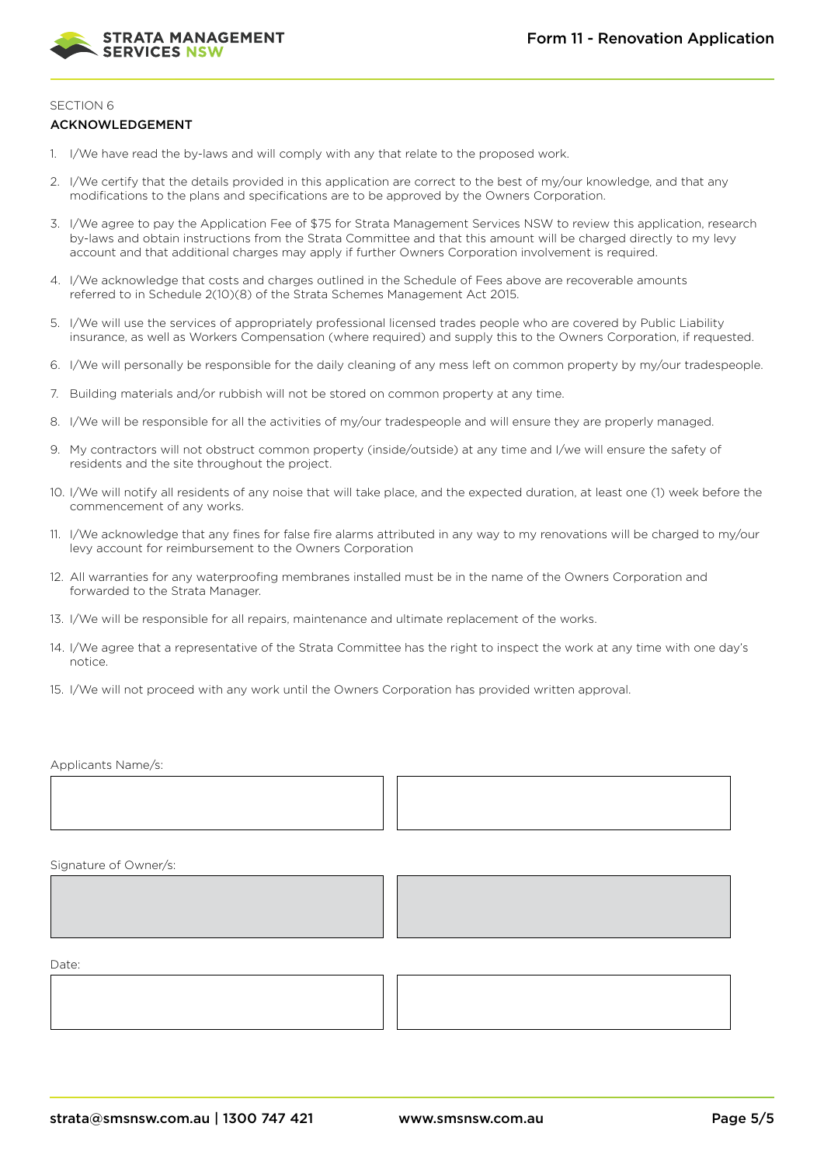

# SECTION 6

## ACKNOWLEDGEMENT

- 1. I/We have read the by-laws and will comply with any that relate to the proposed work.
- 2. I/We certify that the details provided in this application are correct to the best of my/our knowledge, and that any modifications to the plans and specifications are to be approved by the Owners Corporation.
- 3. I/We agree to pay the Application Fee of \$75 for Strata Management Services NSW to review this application, research by-laws and obtain instructions from the Strata Committee and that this amount will be charged directly to my levy account and that additional charges may apply if further Owners Corporation involvement is required.
- 4. I/We acknowledge that costs and charges outlined in the Schedule of Fees above are recoverable amounts referred to in Schedule 2(10)(8) of the Strata Schemes Management Act 2015.
- 5. I/We will use the services of appropriately professional licensed trades people who are covered by Public Liability insurance, as well as Workers Compensation (where required) and supply this to the Owners Corporation, if requested.
- 6. I/We will personally be responsible for the daily cleaning of any mess left on common property by my/our tradespeople.
- 7. Building materials and/or rubbish will not be stored on common property at any time.
- 8. I/We will be responsible for all the activities of my/our tradespeople and will ensure they are properly managed.
- 9. My contractors will not obstruct common property (inside/outside) at any time and I/we will ensure the safety of residents and the site throughout the project.
- 10. I/We will notify all residents of any noise that will take place, and the expected duration, at least one (1) week before the commencement of any works.
- 11. I/We acknowledge that any fines for false fire alarms attributed in any way to my renovations will be charged to my/our levy account for reimbursement to the Owners Corporation
- 12. All warranties for any waterproofing membranes installed must be in the name of the Owners Corporation and forwarded to the Strata Manager.
- 13. I/We will be responsible for all repairs, maintenance and ultimate replacement of the works.
- 14. I/We agree that a representative of the Strata Committee has the right to inspect the work at any time with one day's notice.

 $\mathbf{I}$ 

15. I/We will not proceed with any work until the Owners Corporation has provided written approval.

Applicants Name/s:

 $\mathsf{I}$ 

Signature of Owner/s:



Date: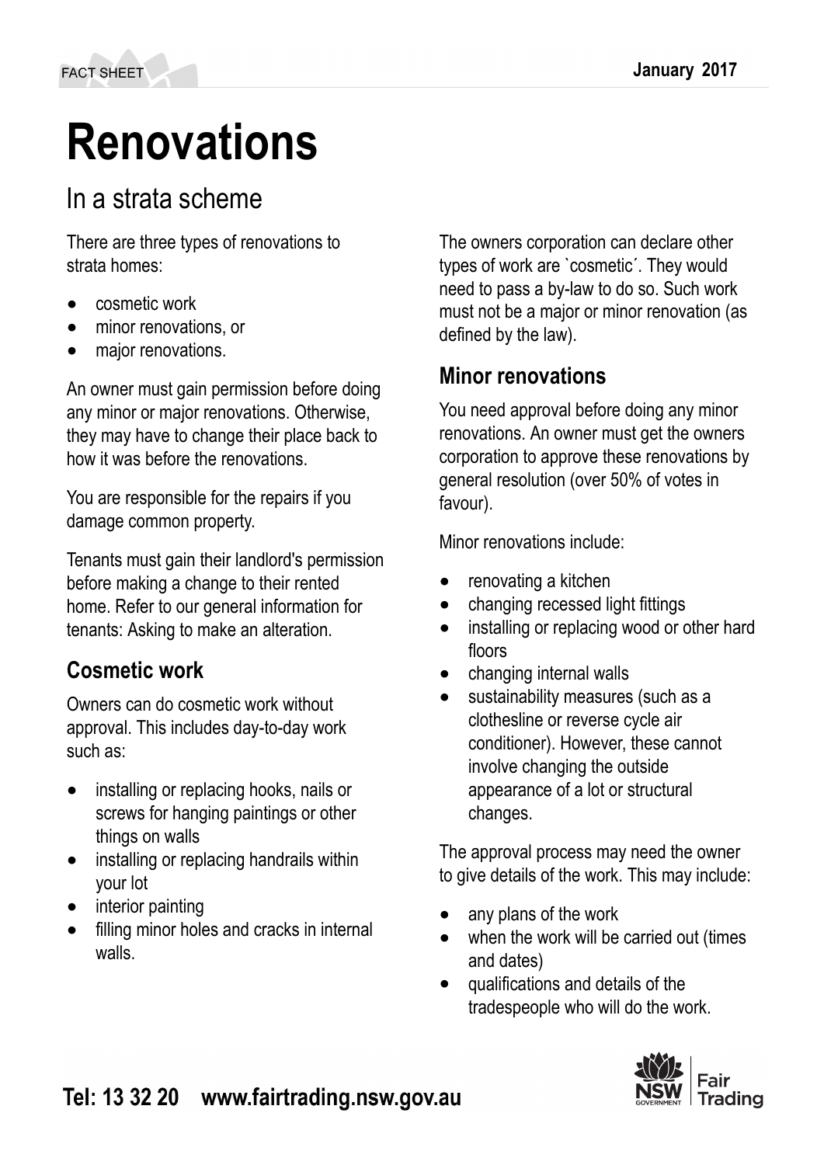# **Renovations**

# In a strata scheme

There are three types of renovations to strata homes:

- cosmetic work
- minor renovations, or
- major renovations.

An owner must gain permission before doing any minor or major renovations. Otherwise, they may have to change their place back to how it was before the renovations.

You are responsible for the repairs if you damage common property.

Tenants must gain their landlord's permission before making a change to their rented home. Refer to our general information for tenants: Asking to make an alteration.

# **Cosmetic work**

Owners can do cosmetic work without approval. This includes day-to-day work such as:

- installing or replacing hooks, nails or screws for hanging paintings or other things on walls
- installing or replacing handrails within your lot
- interior painting
- filling minor holes and cracks in internal walls.

The owners corporation can declare other types of work are `cosmetic´. They would need to pass a by-law to do so. Such work must not be a major or minor renovation (as defined by the law).

# **Minor renovations**

You need approval before doing any minor renovations. An owner must get the owners corporation to approve these renovations by general resolution (over 50% of votes in favour).

Minor renovations include:

- renovating a kitchen
- changing recessed light fittings
- installing or replacing wood or other hard floors
- changing internal walls
- sustainability measures (such as a clothesline or reverse cycle air conditioner). However, these cannot involve changing the outside appearance of a lot or structural changes.

The approval process may need the owner to give details of the work. This may include:

- any plans of the work
- when the work will be carried out (times and dates)
- qualifications and details of the tradespeople who will do the work.

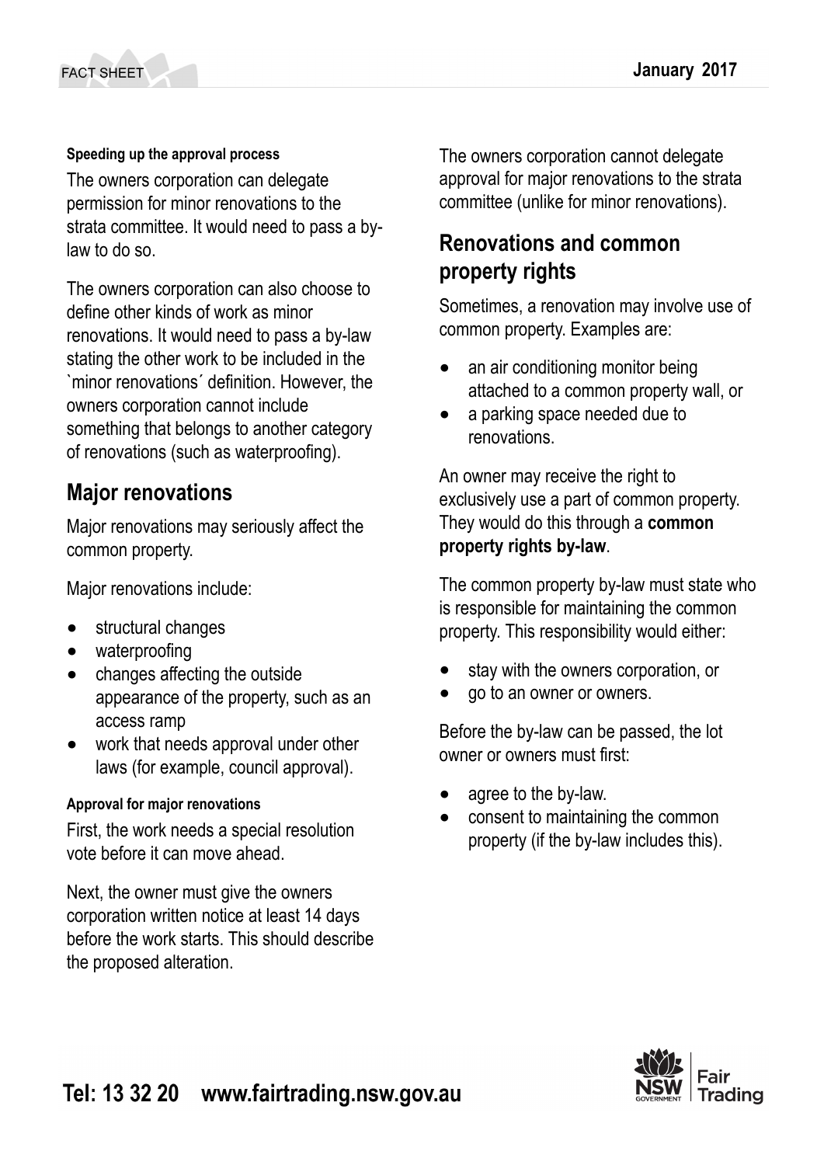# **Speeding up the approval process**

The owners corporation can delegate permission for minor renovations to the strata committee. It would need to pass a bylaw to do so.

The owners corporation can also choose to define other kinds of work as minor renovations. It would need to pass a by-law stating the other work to be included in the `minor renovations´ definition. However, the owners corporation cannot include something that belongs to another category of renovations (such as waterproofing).

# **Major renovations**

Major renovations may seriously affect the common property.

Major renovations include:

- structural changes
- waterproofing
- changes affecting the outside appearance of the property, such as an access ramp
- work that needs approval under other laws (for example, council approval).

# **Approval for major renovations**

First, the work needs a special resolution vote before it can move ahead.

Next, the owner must give the owners corporation written notice at least 14 days before the work starts. This should describe the proposed alteration.

The owners corporation cannot delegate approval for major renovations to the strata committee (unlike for minor renovations).

# **Renovations and common property rights**

Sometimes, a renovation may involve use of common property. Examples are:

- an air conditioning monitor being attached to a common property wall, or
- a parking space needed due to renovations.

An owner may receive the right to exclusively use a part of common property. They would do this through a **common property rights by-law**.

The common property by-law must state who is responsible for maintaining the common property. This responsibility would either:

- stay with the owners corporation, or
- go to an owner or owners.

Before the by-law can be passed, the lot owner or owners must first:

- agree to the by-law.
- consent to maintaining the common property (if the by-law includes this).